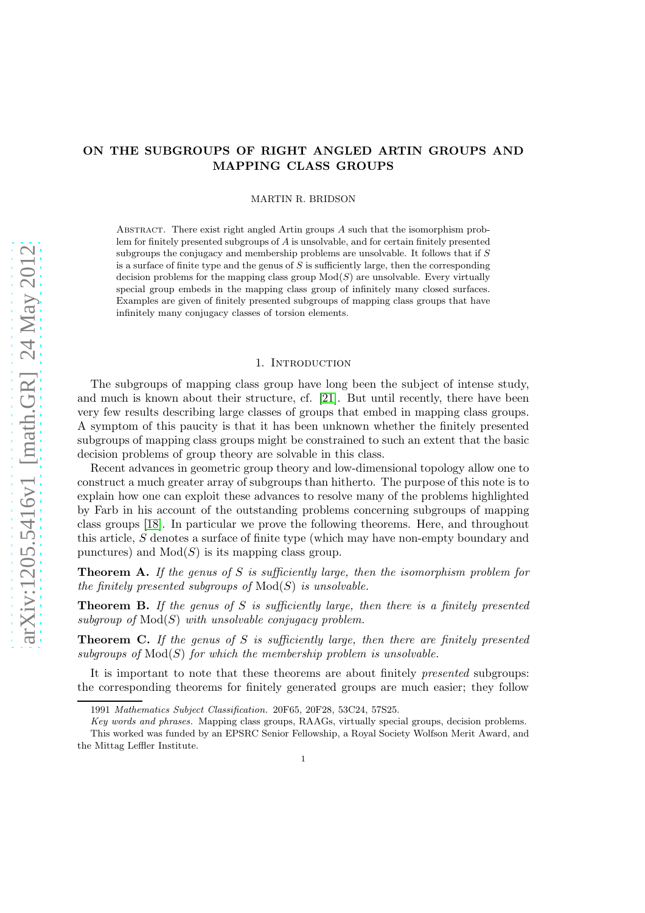# ON THE SUBGROUPS OF RIGHT ANGLED ARTIN GROUPS AND MAPPING CLASS GROUPS

MARTIN R. BRIDSON

ABSTRACT. There exist right angled Artin groups  $A$  such that the isomorphism problem for finitely presented subgroups of A is unsolvable, and for certain finitely presented subgroups the conjugacy and membership problems are unsolvable. It follows that if  $S$ is a surface of finite type and the genus of  $S$  is sufficiently large, then the corresponding decision problems for the mapping class group  $Mod(S)$  are unsolvable. Every virtually special group embeds in the mapping class group of infinitely many closed surfaces. Examples are given of finitely presented subgroups of mapping class groups that have infinitely many conjugacy classes of torsion elements.

## 1. INTRODUCTION

The subgroups of mapping class group have long been the subject of intense study, and much is known about their structure, cf. [\[21\]](#page-9-0). But until recently, there have been very few results describing large classes of groups that embed in mapping class groups. A symptom of this paucity is that it has been unknown whether the finitely presented subgroups of mapping class groups might be constrained to such an extent that the basic decision problems of group theory are solvable in this class.

Recent advances in geometric group theory and low-dimensional topology allow one to construct a much greater array of subgroups than hitherto. The purpose of this note is to explain how one can exploit these advances to resolve many of the problems highlighted by Farb in his account of the outstanding problems concerning subgroups of mapping class groups [\[18\]](#page-8-0). In particular we prove the following theorems. Here, and throughout this article, S denotes a surface of finite type (which may have non-empty boundary and punctures) and  $Mod(S)$  is its mapping class group.

**Theorem A.** If the genus of S is sufficiently large, then the isomorphism problem for the finitely presented subgroups of  $Mod(S)$  is unsolvable.

**Theorem B.** If the genus of S is sufficiently large, then there is a finitely presented subgroup of  $Mod(S)$  with unsolvable conjugacy problem.

**Theorem C.** If the genus of S is sufficiently large, then there are finitely presented subgroups of  $Mod(S)$  for which the membership problem is unsolvable.

It is important to note that these theorems are about finitely presented subgroups: the corresponding theorems for finitely generated groups are much easier; they follow

<sup>1991</sup> Mathematics Subject Classification. 20F65, 20F28, 53C24, 57S25.

Key words and phrases. Mapping class groups, RAAGs, virtually special groups, decision problems.

This worked was funded by an EPSRC Senior Fellowship, a Royal Society Wolfson Merit Award, and the Mittag Leffler Institute.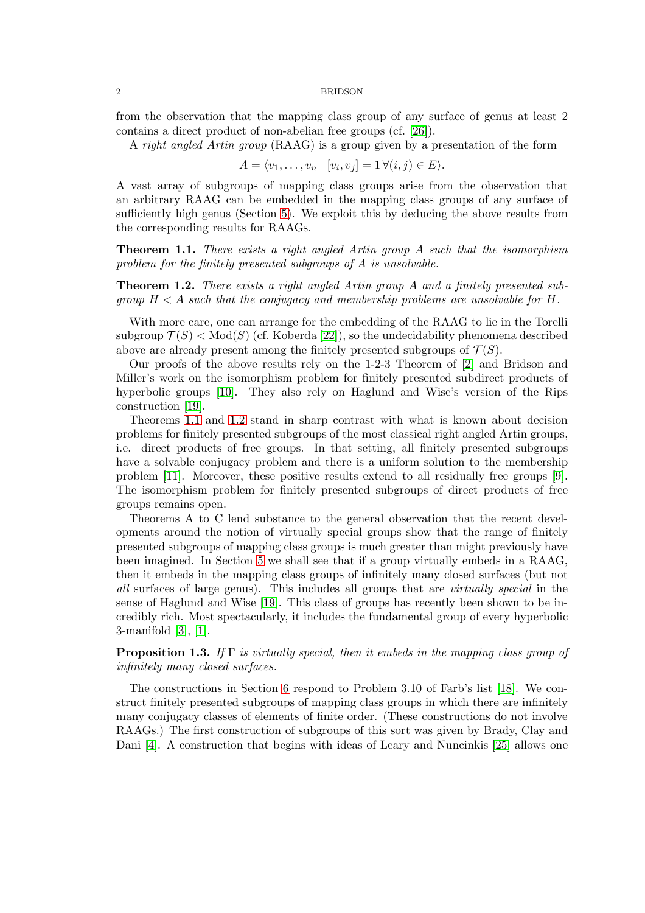from the observation that the mapping class group of any surface of genus at least 2 contains a direct product of non-abelian free groups (cf. [\[26\]](#page-9-1)).

A right angled Artin group (RAAG) is a group given by a presentation of the form

$$
A = \langle v_1, \dots, v_n \mid [v_i, v_j] = 1 \,\forall (i, j) \in E \rangle.
$$

A vast array of subgroups of mapping class groups arise from the observation that an arbitrary RAAG can be embedded in the mapping class groups of any surface of sufficiently high genus (Section [5\)](#page-5-0). We exploit this by deducing the above results from the corresponding results for RAAGs.

<span id="page-1-0"></span>**Theorem 1.1.** There exists a right angled Artin group A such that the isomorphism problem for the finitely presented subgroups of A is unsolvable.

<span id="page-1-1"></span>Theorem 1.2. There exists a right angled Artin group A and a finitely presented subgroup  $H < A$  such that the conjugacy and membership problems are unsolvable for H.

With more care, one can arrange for the embedding of the RAAG to lie in the Torelli subgroup  $\mathcal{T}(S) < \text{Mod}(S)$  (cf. Koberda [\[22\]](#page-9-2)), so the undecidability phenomena described above are already present among the finitely presented subgroups of  $\mathcal{T}(S)$ .

Our proofs of the above results rely on the 1-2-3 Theorem of [\[2\]](#page-8-1) and Bridson and Miller's work on the isomorphism problem for finitely presented subdirect products of hyperbolic groups [\[10\]](#page-8-2). They also rely on Haglund and Wise's version of the Rips construction [\[19\]](#page-8-3).

Theorems [1.1](#page-1-0) and [1.2](#page-1-1) stand in sharp contrast with what is known about decision problems for finitely presented subgroups of the most classical right angled Artin groups, i.e. direct products of free groups. In that setting, all finitely presented subgroups have a solvable conjugacy problem and there is a uniform solution to the membership problem [\[11\]](#page-8-4). Moreover, these positive results extend to all residually free groups [\[9\]](#page-8-5). The isomorphism problem for finitely presented subgroups of direct products of free groups remains open.

Theorems A to C lend substance to the general observation that the recent developments around the notion of virtually special groups show that the range of finitely presented subgroups of mapping class groups is much greater than might previously have been imagined. In Section [5](#page-5-0) we shall see that if a group virtually embeds in a RAAG, then it embeds in the mapping class groups of infinitely many closed surfaces (but not all surfaces of large genus). This includes all groups that are virtually special in the sense of Haglund and Wise [\[19\]](#page-8-3). This class of groups has recently been shown to be incredibly rich. Most spectacularly, it includes the fundamental group of every hyperbolic 3-manifold [\[3\]](#page-8-6), [\[1\]](#page-8-7).

# **Proposition 1.3.** If  $\Gamma$  is virtually special, then it embeds in the mapping class group of infinitely many closed surfaces.

The constructions in Section [6](#page-6-0) respond to Problem 3.10 of Farb's list [\[18\]](#page-8-0). We construct finitely presented subgroups of mapping class groups in which there are infinitely many conjugacy classes of elements of finite order. (These constructions do not involve RAAGs.) The first construction of subgroups of this sort was given by Brady, Clay and Dani [\[4\]](#page-8-8). A construction that begins with ideas of Leary and Nuncinkis [\[25\]](#page-9-3) allows one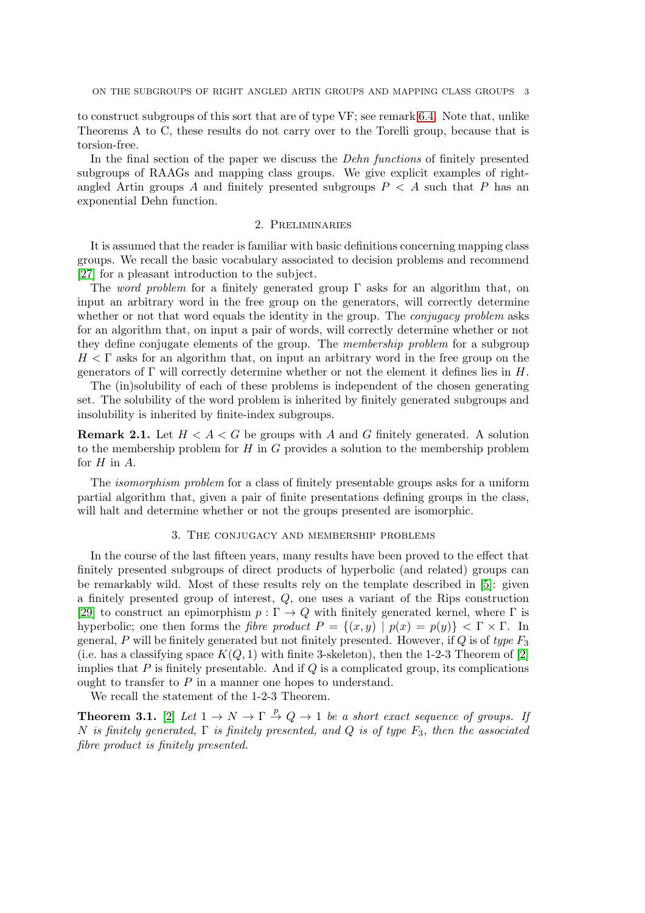to construct subgroups of this sort that are of type VF; see remark [6.4.](#page-7-0) Note that, unlike Theorems A to C, these results do not carry over to the Torelli group, because that is torsion-free.

In the final section of the paper we discuss the Dehn functions of finitely presented subgroups of RAAGs and mapping class groups. We give explicit examples of rightangled Artin groups A and finitely presented subgroups  $P < A$  such that P has an exponential Dehn function.

### 2. Preliminaries

It is assumed that the reader is familiar with basic definitions concerning mapping class groups. We recall the basic vocabulary associated to decision problems and recommend [\[27\]](#page-9-4) for a pleasant introduction to the subject.

The *word problem* for a finitely generated group  $\Gamma$  asks for an algorithm that, on input an arbitrary word in the free group on the generators, will correctly determine whether or not that word equals the identity in the group. The *conjugacy problem* asks for an algorithm that, on input a pair of words, will correctly determine whether or not they define conjugate elements of the group. The membership problem for a subgroup  $H \leq \Gamma$  asks for an algorithm that, on input an arbitrary word in the free group on the generators of  $\Gamma$  will correctly determine whether or not the element it defines lies in H.

The (in)solubility of each of these problems is independent of the chosen generating set. The solubility of the word problem is inherited by finitely generated subgroups and insolubility is inherited by finite-index subgroups.

<span id="page-2-0"></span>**Remark 2.1.** Let  $H \leq A \leq G$  be groups with A and G finitely generated. A solution to the membership problem for  $H$  in  $G$  provides a solution to the membership problem for  $H$  in  $A$ .

The isomorphism problem for a class of finitely presentable groups asks for a uniform partial algorithm that, given a pair of finite presentations defining groups in the class, will halt and determine whether or not the groups presented are isomorphic.

### 3. The conjugacy and membership problems

In the course of the last fifteen years, many results have been proved to the effect that finitely presented subgroups of direct products of hyperbolic (and related) groups can be remarkably wild. Most of these results rely on the template described in [\[5\]](#page-8-9): given a finitely presented group of interest, Q, one uses a variant of the Rips construction [\[29\]](#page-9-5) to construct an epimorphism  $p : \Gamma \to Q$  with finitely generated kernel, where  $\Gamma$  is hyperbolic; one then forms the *fibre product*  $P = \{(x, y) | p(x) = p(y)\} < \Gamma \times \Gamma$ . In general, P will be finitely generated but not finitely presented. However, if  $Q$  is of type  $F_3$ (i.e. has a classifying space  $K(Q, 1)$  with finite 3-skeleton), then the 1-2-3 Theorem of [\[2\]](#page-8-1) implies that  $P$  is finitely presentable. And if  $Q$  is a complicated group, its complications ought to transfer to  $P$  in a manner one hopes to understand.

We recall the statement of the 1-2-3 Theorem.

**Theorem 3.1.** [\[2\]](#page-8-1) Let  $1 \to N \to \Gamma \stackrel{p}{\to} Q \to 1$  be a short exact sequence of groups. If N is finitely generated,  $\Gamma$  is finitely presented, and Q is of type  $F_3$ , then the associated fibre product is finitely presented.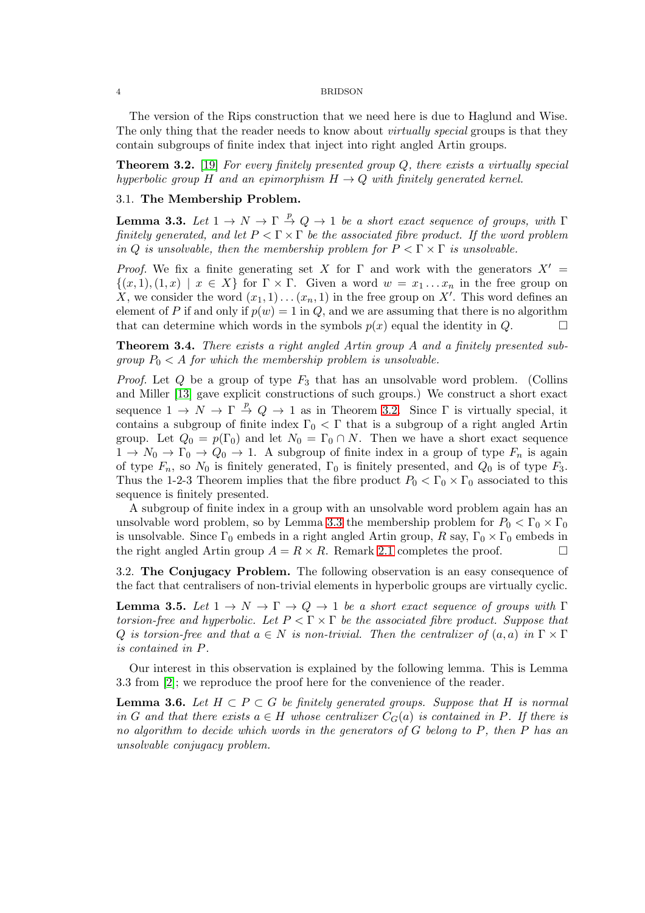The version of the Rips construction that we need here is due to Haglund and Wise. The only thing that the reader needs to know about *virtually special* groups is that they contain subgroups of finite index that inject into right angled Artin groups.

<span id="page-3-0"></span>**Theorem 3.2.** [\[19\]](#page-8-3) For every finitely presented group  $Q$ , there exists a virtually special hyperbolic group H and an epimorphism  $H \to Q$  with finitely generated kernel.

# 3.1. The Membership Problem.

<span id="page-3-1"></span>**Lemma 3.3.** Let  $1 \to N \to \Gamma \stackrel{p}{\to} Q \to 1$  be a short exact sequence of groups, with  $\Gamma$ finitely generated, and let  $P \leq \Gamma \times \Gamma$  be the associated fibre product. If the word problem in Q is unsolvable, then the membership problem for  $P \leq \Gamma \times \Gamma$  is unsolvable.

Proof. We fix a finite generating set X for  $\Gamma$  and work with the generators  $X' =$  $\{(x, 1), (1, x) \mid x \in X\}$  for  $\Gamma \times \Gamma$ . Given a word  $w = x_1 \dots x_n$  in the free group on X, we consider the word  $(x_1, 1) \ldots (x_n, 1)$  in the free group on X'. This word defines an element of P if and only if  $p(w) = 1$  in Q, and we are assuming that there is no algorithm that can determine which words in the symbols  $p(x)$  equal the identity in  $Q$ .

<span id="page-3-2"></span>Theorem 3.4. There exists a right angled Artin group A and a finitely presented subgroup  $P_0 < A$  for which the membership problem is unsolvable.

*Proof.* Let  $Q$  be a group of type  $F_3$  that has an unsolvable word problem. (Collins and Miller [\[13\]](#page-8-10) gave explicit constructions of such groups.) We construct a short exact sequence  $1 \to N \to \Gamma \stackrel{p}{\to} Q \to 1$  as in Theorem [3.2.](#page-3-0) Since  $\Gamma$  is virtually special, it contains a subgroup of finite index  $\Gamma_0 < \Gamma$  that is a subgroup of a right angled Artin group. Let  $Q_0 = p(\Gamma_0)$  and let  $N_0 = \Gamma_0 \cap N$ . Then we have a short exact sequence  $1 \to N_0 \to \Gamma_0 \to Q_0 \to 1$ . A subgroup of finite index in a group of type  $F_n$  is again of type  $F_n$ , so  $N_0$  is finitely generated,  $\Gamma_0$  is finitely presented, and  $Q_0$  is of type  $F_3$ . Thus the 1-2-3 Theorem implies that the fibre product  $P_0 < \Gamma_0 \times \Gamma_0$  associated to this sequence is finitely presented.

A subgroup of finite index in a group with an unsolvable word problem again has an unsolvable word problem, so by Lemma [3.3](#page-3-1) the membership problem for  $P_0 < \Gamma_0 \times \Gamma_0$ is unsolvable. Since  $\Gamma_0$  embeds in a right angled Artin group,  $R$  say,  $\Gamma_0 \times \Gamma_0$  embeds in the right angled Artin group  $A = R \times R$ . Remark [2.1](#page-2-0) completes the proof.

3.2. The Conjugacy Problem. The following observation is an easy consequence of the fact that centralisers of non-trivial elements in hyperbolic groups are virtually cyclic.

<span id="page-3-3"></span>**Lemma 3.5.** Let  $1 \to N \to \Gamma \to Q \to 1$  be a short exact sequence of groups with  $\Gamma$ torsion-free and hyperbolic. Let  $P \leq \Gamma \times \Gamma$  be the associated fibre product. Suppose that Q is torsion-free and that  $a \in N$  is non-trivial. Then the centralizer of  $(a, a)$  in  $\Gamma \times \Gamma$ is contained in P.

Our interest in this observation is explained by the following lemma. This is Lemma 3.3 from [\[2\]](#page-8-1); we reproduce the proof here for the convenience of the reader.

<span id="page-3-4"></span>**Lemma 3.6.** Let  $H \subset P \subset G$  be finitely generated groups. Suppose that H is normal in G and that there exists  $a \in H$  whose centralizer  $C_G(a)$  is contained in P. If there is no algorithm to decide which words in the generators of G belong to P, then P has an unsolvable conjugacy problem.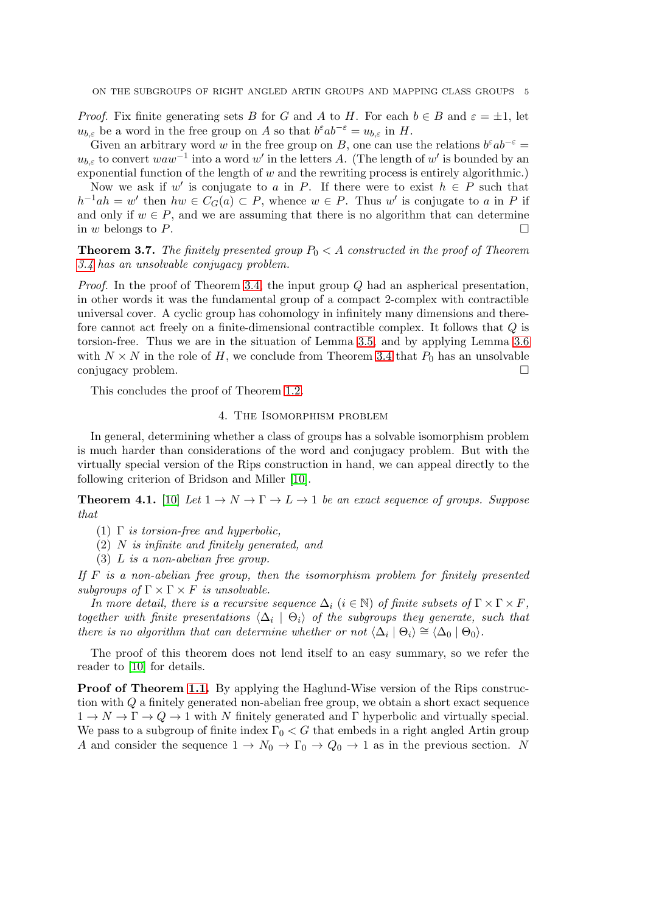*Proof.* Fix finite generating sets B for G and A to H. For each  $b \in B$  and  $\varepsilon = \pm 1$ , let  $u_{b,\varepsilon}$  be a word in the free group on A so that  $b^{\varepsilon}ab^{-\varepsilon} = u_{b,\varepsilon}$  in H.

Given an arbitrary word w in the free group on B, one can use the relations  $b^{\varepsilon}ab^{-\varepsilon} =$  $u_{b,\varepsilon}$  to convert  $waw^{-1}$  into a word w' in the letters A. (The length of w' is bounded by an exponential function of the length of  $w$  and the rewriting process is entirely algorithmic.)

Now we ask if w' is conjugate to a in P. If there were to exist  $h \in P$  such that  $h^{-1}ah = w'$  then  $hw \in C_G(a) \subset P$ , whence  $w \in P$ . Thus w' is conjugate to a in P if and only if  $w \in P$ , and we are assuming that there is no algorithm that can determine in w belongs to P.

**Theorem 3.7.** The finitely presented group  $P_0 < A$  constructed in the proof of Theorem [3.4](#page-3-2) has an unsolvable conjugacy problem.

*Proof.* In the proof of Theorem [3.4,](#page-3-2) the input group  $Q$  had an aspherical presentation, in other words it was the fundamental group of a compact 2-complex with contractible universal cover. A cyclic group has cohomology in infinitely many dimensions and therefore cannot act freely on a finite-dimensional contractible complex. It follows that Q is torsion-free. Thus we are in the situation of Lemma [3.5,](#page-3-3) and by applying Lemma [3.6](#page-3-4) with  $N \times N$  in the role of H, we conclude from Theorem [3.4](#page-3-2) that  $P_0$  has an unsolvable conjugacy problem.

This concludes the proof of Theorem [1.2.](#page-1-1)

### 4. The Isomorphism problem

In general, determining whether a class of groups has a solvable isomorphism problem is much harder than considerations of the word and conjugacy problem. But with the virtually special version of the Rips construction in hand, we can appeal directly to the following criterion of Bridson and Miller [\[10\]](#page-8-2).

<span id="page-4-0"></span>**Theorem 4.1.** [\[10\]](#page-8-2) Let  $1 \to N \to \Gamma \to L \to 1$  be an exact sequence of groups. Suppose that

- (1)  $\Gamma$  is torsion-free and hyperbolic,
- (2) N is infinite and finitely generated, and
- (3) L is a non-abelian free group.

If  $F$  is a non-abelian free group, then the isomorphism problem for finitely presented subgroups of  $\Gamma \times \Gamma \times F$  is unsolvable.

In more detail, there is a recursive sequence  $\Delta_i$  ( $i \in \mathbb{N}$ ) of finite subsets of  $\Gamma \times \Gamma \times F$ , together with finite presentations  $\langle \Delta_i | \Theta_i \rangle$  of the subgroups they generate, such that there is no algorithm that can determine whether or not  $\langle \Delta_i | \Theta_i \rangle \cong \langle \Delta_0 | \Theta_0 \rangle$ .

The proof of this theorem does not lend itself to an easy summary, so we refer the reader to [\[10\]](#page-8-2) for details.

**Proof of Theorem [1.1.](#page-1-0)** By applying the Haglund-Wise version of the Rips construction with  $Q$  a finitely generated non-abelian free group, we obtain a short exact sequence  $1 \to N \to \Gamma \to Q \to 1$  with N finitely generated and  $\Gamma$  hyperbolic and virtually special. We pass to a subgroup of finite index  $\Gamma_0 < G$  that embeds in a right angled Artin group A and consider the sequence  $1 \to N_0 \to \Gamma_0 \to Q_0 \to 1$  as in the previous section. N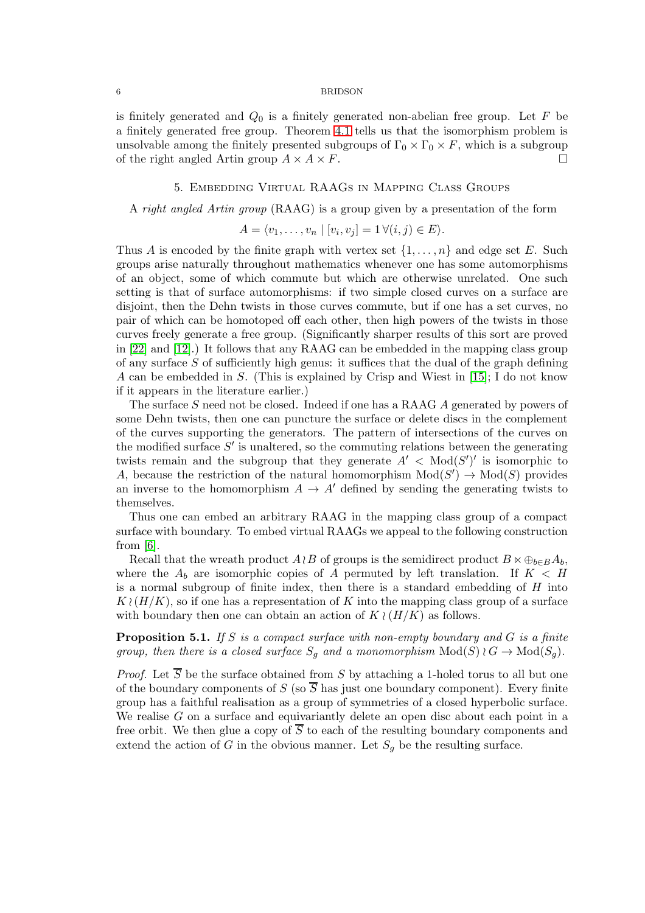is finitely generated and  $Q_0$  is a finitely generated non-abelian free group. Let F be a finitely generated free group. Theorem [4.1](#page-4-0) tells us that the isomorphism problem is unsolvable among the finitely presented subgroups of  $\Gamma_0 \times \Gamma_0 \times F$ , which is a subgroup of the right angled Artin group  $A \times A \times F$ .

# 5. Embedding Virtual RAAGs in Mapping Class Groups

### <span id="page-5-0"></span>A right angled Artin group (RAAG) is a group given by a presentation of the form

$$
A = \langle v_1, \dots, v_n \mid [v_i, v_j] = 1 \,\forall (i, j) \in E \rangle.
$$

Thus A is encoded by the finite graph with vertex set  $\{1, \ldots, n\}$  and edge set E. Such groups arise naturally throughout mathematics whenever one has some automorphisms of an object, some of which commute but which are otherwise unrelated. One such setting is that of surface automorphisms: if two simple closed curves on a surface are disjoint, then the Dehn twists in those curves commute, but if one has a set curves, no pair of which can be homotoped off each other, then high powers of the twists in those curves freely generate a free group. (Significantly sharper results of this sort are proved in [\[22\]](#page-9-2) and [\[12\]](#page-8-11).) It follows that any RAAG can be embedded in the mapping class group of any surface  $S$  of sufficiently high genus: it suffices that the dual of the graph defining A can be embedded in S. (This is explained by Crisp and Wiest in [\[15\]](#page-8-12); I do not know if it appears in the literature earlier.)

The surface S need not be closed. Indeed if one has a RAAG A generated by powers of some Dehn twists, then one can puncture the surface or delete discs in the complement of the curves supporting the generators. The pattern of intersections of the curves on the modified surface  $S'$  is unaltered, so the commuting relations between the generating twists remain and the subgroup that they generate  $A' < Mod(S')'$  is isomorphic to A, because the restriction of the natural homomorphism  $Mod(S') \to Mod(S)$  provides an inverse to the homomorphism  $A \to A'$  defined by sending the generating twists to themselves.

Thus one can embed an arbitrary RAAG in the mapping class group of a compact surface with boundary. To embed virtual RAAGs we appeal to the following construction from [\[6\]](#page-8-13).

Recall that the wreath product  $A\wr B$  of groups is the semidirect product  $B \ltimes \bigoplus_{b \in B} A_b$ , where the  $A_b$  are isomorphic copies of A permuted by left translation. If  $K < H$ is a normal subgroup of finite index, then there is a standard embedding of  $H$  into  $K \wr (H/K)$ , so if one has a representation of K into the mapping class group of a surface with boundary then one can obtain an action of  $K \wr (H/K)$  as follows.

# <span id="page-5-1"></span>**Proposition 5.1.** If S is a compact surface with non-empty boundary and G is a finite group, then there is a closed surface  $S_q$  and a monomorphism  $Mod(S) \wr G \to Mod(S_q)$ .

*Proof.* Let  $\overline{S}$  be the surface obtained from S by attaching a 1-holed torus to all but one of the boundary components of S (so  $\overline{S}$  has just one boundary component). Every finite group has a faithful realisation as a group of symmetries of a closed hyperbolic surface. We realise  $G$  on a surface and equivariantly delete an open disc about each point in a free orbit. We then glue a copy of  $\overline{S}$  to each of the resulting boundary components and extend the action of G in the obvious manner. Let  $S_g$  be the resulting surface.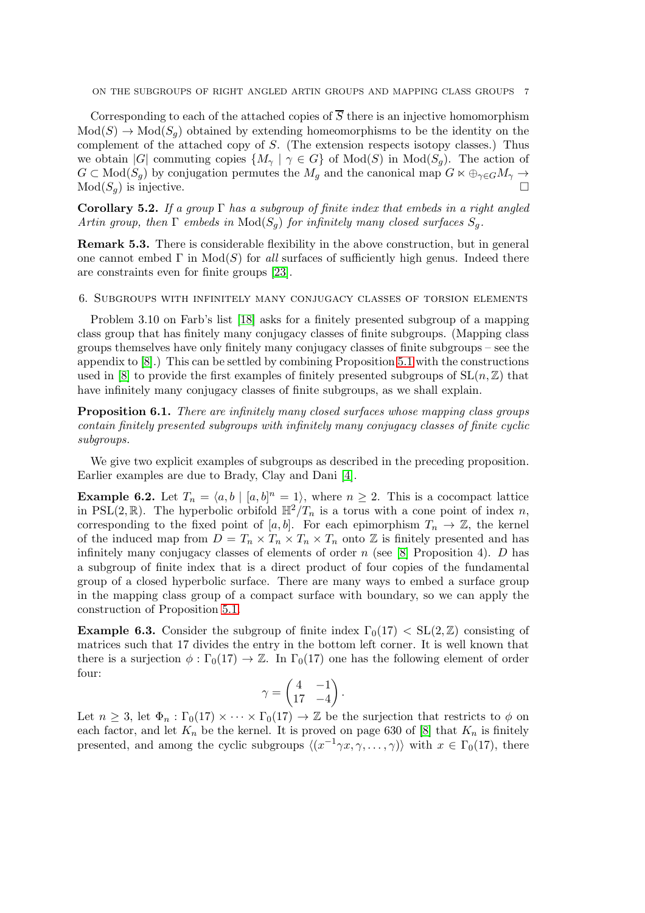ON THE SUBGROUPS OF RIGHT ANGLED ARTIN GROUPS AND MAPPING CLASS GROUPS 7

Corresponding to each of the attached copies of  $\overline{S}$  there is an injective homomorphism  $Mod(S) \to Mod(S_q)$  obtained by extending homeomorphisms to be the identity on the complement of the attached copy of S. (The extension respects isotopy classes.) Thus we obtain |G| commuting copies  $\{M_{\gamma} \mid \gamma \in G\}$  of  $Mod(S)$  in  $Mod(S_q)$ . The action of  $G \subset Mod(S_g)$  by conjugation permutes the  $M_g$  and the canonical map  $G \ltimes \bigoplus_{\gamma \in G} M_\gamma \to$  $Mod(S_q)$  is injective.

<span id="page-6-1"></span>Corollary 5.2. If a group  $\Gamma$  has a subgroup of finite index that embeds in a right angled Artin group, then  $\Gamma$  embeds in  $\text{Mod}(S_q)$  for infinitely many closed surfaces  $S_q$ .

Remark 5.3. There is considerable flexibility in the above construction, but in general one cannot embed  $\Gamma$  in  $Mod(S)$  for all surfaces of sufficiently high genus. Indeed there are constraints even for finite groups [\[23\]](#page-9-6).

#### <span id="page-6-0"></span>6. Subgroups with infinitely many conjugacy classes of torsion elements

Problem 3.10 on Farb's list [\[18\]](#page-8-0) asks for a finitely presented subgroup of a mapping class group that has finitely many conjugacy classes of finite subgroups. (Mapping class groups themselves have only finitely many conjugacy classes of finite subgroups – see the appendix to [\[8\]](#page-8-14).) This can be settled by combining Proposition [5.1](#page-5-1) with the constructions used in [\[8\]](#page-8-14) to provide the first examples of finitely presented subgroups of  $SL(n, \mathbb{Z})$  that have infinitely many conjugacy classes of finite subgroups, as we shall explain.

<span id="page-6-2"></span>Proposition 6.1. There are infinitely many closed surfaces whose mapping class groups contain finitely presented subgroups with infinitely many conjugacy classes of finite cyclic subgroups.

We give two explicit examples of subgroups as described in the preceding proposition. Earlier examples are due to Brady, Clay and Dani [\[4\]](#page-8-8).

**Example 6.2.** Let  $T_n = \langle a, b \mid [a, b]^n = 1 \rangle$ , where  $n \geq 2$ . This is a cocompact lattice in PSL(2, R). The hyperbolic orbifold  $\mathbb{H}^2/T_n$  is a torus with a cone point of index n, corresponding to the fixed point of [a, b]. For each epimorphism  $T_n \to \mathbb{Z}$ , the kernel of the induced map from  $D = T_n \times T_n \times T_n \times T_n$  onto Z is finitely presented and has infinitely many conjugacy classes of elements of order n (see [\[8\]](#page-8-14) Proposition 4). D has a subgroup of finite index that is a direct product of four copies of the fundamental group of a closed hyperbolic surface. There are many ways to embed a surface group in the mapping class group of a compact surface with boundary, so we can apply the construction of Proposition [5.1.](#page-5-1)

**Example 6.3.** Consider the subgroup of finite index  $\Gamma_0(17) < SL(2, \mathbb{Z})$  consisting of matrices such that 17 divides the entry in the bottom left corner. It is well known that there is a surjection  $\phi : \Gamma_0(17) \to \mathbb{Z}$ . In  $\Gamma_0(17)$  one has the following element of order four:

$$
\gamma = \begin{pmatrix} 4 & -1 \\ 17 & -4 \end{pmatrix}.
$$

Let  $n \geq 3$ , let  $\Phi_n : \Gamma_0(17) \times \cdots \times \Gamma_0(17) \to \mathbb{Z}$  be the surjection that restricts to  $\phi$  on each factor, and let  $K_n$  be the kernel. It is proved on page 630 of [\[8\]](#page-8-14) that  $K_n$  is finitely presented, and among the cyclic subgroups  $\langle (x^{-1}\gamma x, \gamma, \ldots, \gamma) \rangle$  with  $x \in \Gamma_0(17)$ , there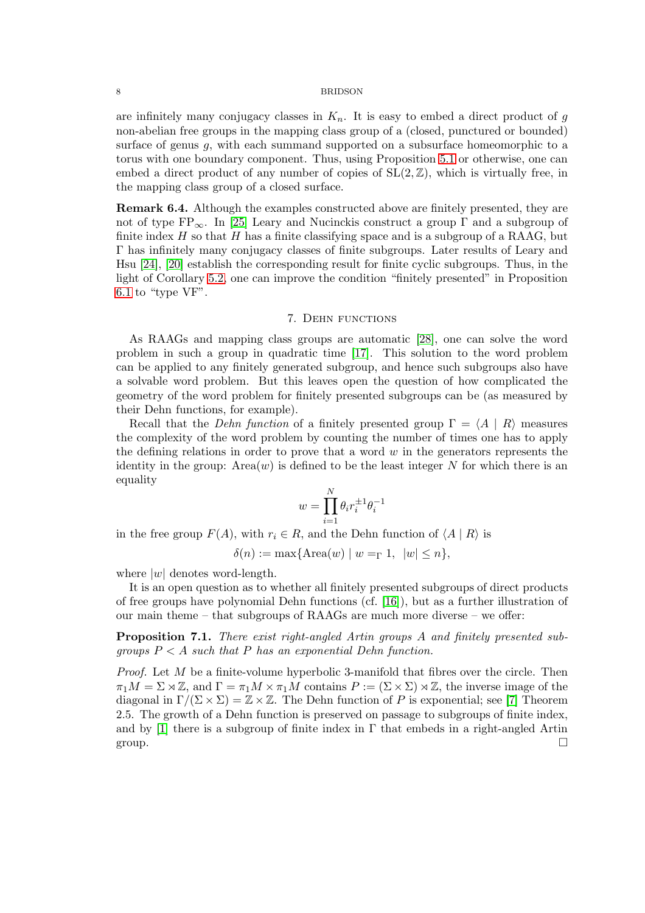are infinitely many conjugacy classes in  $K_n$ . It is easy to embed a direct product of g non-abelian free groups in the mapping class group of a (closed, punctured or bounded) surface of genus  $g$ , with each summand supported on a subsurface homeomorphic to a torus with one boundary component. Thus, using Proposition [5.1](#page-5-1) or otherwise, one can embed a direct product of any number of copies of  $SL(2, \mathbb{Z})$ , which is virtually free, in the mapping class group of a closed surface.

<span id="page-7-0"></span>Remark 6.4. Although the examples constructed above are finitely presented, they are not of type  $FP_{\infty}$ . In [\[25\]](#page-9-3) Leary and Nucinckis construct a group  $\Gamma$  and a subgroup of finite index  $H$  so that  $H$  has a finite classifying space and is a subgroup of a RAAG, but Γ has infinitely many conjugacy classes of finite subgroups. Later results of Leary and Hsu [\[24\]](#page-9-7), [\[20\]](#page-9-8) establish the corresponding result for finite cyclic subgroups. Thus, in the light of Corollary [5.2,](#page-6-1) one can improve the condition "finitely presented" in Proposition [6.1](#page-6-2) to "type VF".

## 7. Dehn functions

As RAAGs and mapping class groups are automatic [\[28\]](#page-9-9), one can solve the word problem in such a group in quadratic time [\[17\]](#page-8-15). This solution to the word problem can be applied to any finitely generated subgroup, and hence such subgroups also have a solvable word problem. But this leaves open the question of how complicated the geometry of the word problem for finitely presented subgroups can be (as measured by their Dehn functions, for example).

Recall that the Dehn function of a finitely presented group  $\Gamma = \langle A | R \rangle$  measures the complexity of the word problem by counting the number of times one has to apply the defining relations in order to prove that a word  $w$  in the generators represents the identity in the group:  $Area(w)$  is defined to be the least integer N for which there is an equality

$$
w=\prod_{i=1}^N \theta_i r_i^{\pm 1}\theta_i^{-1}
$$

in the free group  $F(A)$ , with  $r_i \in R$ , and the Dehn function of  $\langle A | R \rangle$  is

$$
\delta(n) := \max\{\text{Area}(w) \mid w =_{\Gamma} 1, \ |w| \le n\},\
$$

where  $|w|$  denotes word-length.

It is an open question as to whether all finitely presented subgroups of direct products of free groups have polynomial Dehn functions (cf. [\[16\]](#page-8-16)), but as a further illustration of our main theme – that subgroups of RAAGs are much more diverse – we offer:

Proposition 7.1. There exist right-angled Artin groups A and finitely presented subgroups  $P < A$  such that P has an exponential Dehn function.

*Proof.* Let  $M$  be a finite-volume hyperbolic 3-manifold that fibres over the circle. Then  $\pi_1M = \Sigma \rtimes \mathbb{Z}$ , and  $\Gamma = \pi_1M \times \pi_1M$  contains  $P := (\Sigma \times \Sigma) \rtimes \mathbb{Z}$ , the inverse image of the diagonal in  $\Gamma/(\Sigma \times \Sigma) = \mathbb{Z} \times \mathbb{Z}$ . The Dehn function of P is exponential; see [\[7\]](#page-8-17) Theorem 2.5. The growth of a Dehn function is preserved on passage to subgroups of finite index, and by [\[1\]](#page-8-7) there is a subgroup of finite index in  $\Gamma$  that embeds in a right-angled Artin group.  $\square$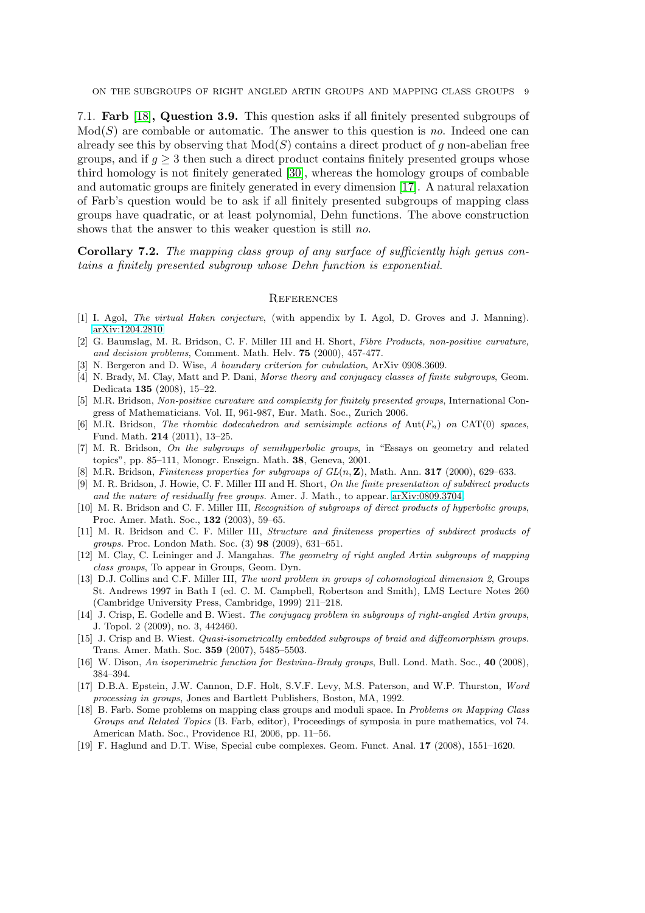ON THE SUBGROUPS OF RIGHT ANGLED ARTIN GROUPS AND MAPPING CLASS GROUPS 9

7.1. Farb [\[18\]](#page-8-0), Question 3.9. This question asks if all finitely presented subgroups of  $Mod(S)$  are combable or automatic. The answer to this question is no. Indeed one can already see this by observing that  $Mod(S)$  contains a direct product of g non-abelian free groups, and if  $q \geq 3$  then such a direct product contains finitely presented groups whose third homology is not finitely generated [\[30\]](#page-9-10), whereas the homology groups of combable and automatic groups are finitely generated in every dimension [\[17\]](#page-8-15). A natural relaxation of Farb's question would be to ask if all finitely presented subgroups of mapping class groups have quadratic, or at least polynomial, Dehn functions. The above construction shows that the answer to this weaker question is still no.

Corollary 7.2. The mapping class group of any surface of sufficiently high genus contains a finitely presented subgroup whose Dehn function is exponential.

#### **REFERENCES**

- <span id="page-8-7"></span><span id="page-8-1"></span>[1] I. Agol, The virtual Haken conjecture, (with appendix by I. Agol, D. Groves and J. Manning). [arXiv:1204.2810](http://arxiv.org/abs/1204.2810)
- [2] G. Baumslag, M. R. Bridson, C. F. Miller III and H. Short, Fibre Products, non-positive curvature, and decision problems, Comment. Math. Helv. 75 (2000), 457-477.
- <span id="page-8-8"></span><span id="page-8-6"></span>[3] N. Bergeron and D. Wise, A boundary criterion for cubulation, ArXiv 0908.3609.
- [4] N. Brady, M. Clay, Matt and P. Dani, Morse theory and conjugacy classes of finite subgroups, Geom. Dedicata 135 (2008), 15–22.
- <span id="page-8-9"></span>[5] M.R. Bridson, Non-positive curvature and complexity for finitely presented groups, International Congress of Mathematicians. Vol. II, 961-987, Eur. Math. Soc., Zurich 2006.
- <span id="page-8-13"></span>[6] M.R. Bridson, The rhombic dodecahedron and semisimple actions of Aut( $F_n$ ) on CAT(0) spaces, Fund. Math. 214 (2011), 13–25.
- <span id="page-8-17"></span>[7] M. R. Bridson, On the subgroups of semihyperbolic groups, in "Essays on geometry and related topics", pp. 85–111, Monogr. Enseign. Math. 38, Geneva, 2001.
- <span id="page-8-14"></span><span id="page-8-5"></span>[8] M.R. Bridson, Finiteness properties for subgroups of  $GL(n, \mathbb{Z})$ , Math. Ann. 317 (2000), 629–633.
- [9] M. R. Bridson, J. Howie, C. F. Miller III and H. Short, On the finite presentation of subdirect products and the nature of residually free groups. Amer. J. Math., to appear. [arXiv:0809.3704.](http://arxiv.org/abs/0809.3704)
- <span id="page-8-2"></span>[10] M. R. Bridson and C. F. Miller III, Recognition of subgroups of direct products of hyperbolic groups, Proc. Amer. Math. Soc., 132 (2003), 59–65.
- <span id="page-8-4"></span>[11] M. R. Bridson and C. F. Miller III, Structure and finiteness properties of subdirect products of groups. Proc. London Math. Soc. (3) 98 (2009), 631–651.
- <span id="page-8-11"></span>[12] M. Clay, C. Leininger and J. Mangahas. The geometry of right angled Artin subgroups of mapping class groups, To appear in Groups, Geom. Dyn.
- <span id="page-8-10"></span>[13] D.J. Collins and C.F. Miller III, The word problem in groups of cohomological dimension 2, Groups St. Andrews 1997 in Bath I (ed. C. M. Campbell, Robertson and Smith), LMS Lecture Notes 260 (Cambridge University Press, Cambridge, 1999) 211–218.
- [14] J. Crisp, E. Godelle and B. Wiest. The conjugacy problem in subgroups of right-angled Artin groups, J. Topol. 2 (2009), no. 3, 442460.
- <span id="page-8-12"></span>[15] J. Crisp and B. Wiest. Quasi-isometrically embedded subgroups of braid and diffeomorphism groups. Trans. Amer. Math. Soc. 359 (2007), 5485–5503.
- <span id="page-8-16"></span><span id="page-8-15"></span>[16] W. Dison, An isoperimetric function for Bestvina-Brady groups, Bull. Lond. Math. Soc., 40 (2008), 384–394.
- [17] D.B.A. Epstein, J.W. Cannon, D.F. Holt, S.V.F. Levy, M.S. Paterson, and W.P. Thurston, Word processing in groups, Jones and Bartlett Publishers, Boston, MA, 1992.
- <span id="page-8-0"></span>[18] B. Farb. Some problems on mapping class groups and moduli space. In Problems on Mapping Class Groups and Related Topics (B. Farb, editor), Proceedings of symposia in pure mathematics, vol 74. American Math. Soc., Providence RI, 2006, pp. 11–56.
- <span id="page-8-3"></span>[19] F. Haglund and D.T. Wise, Special cube complexes. Geom. Funct. Anal. 17 (2008), 1551–1620.